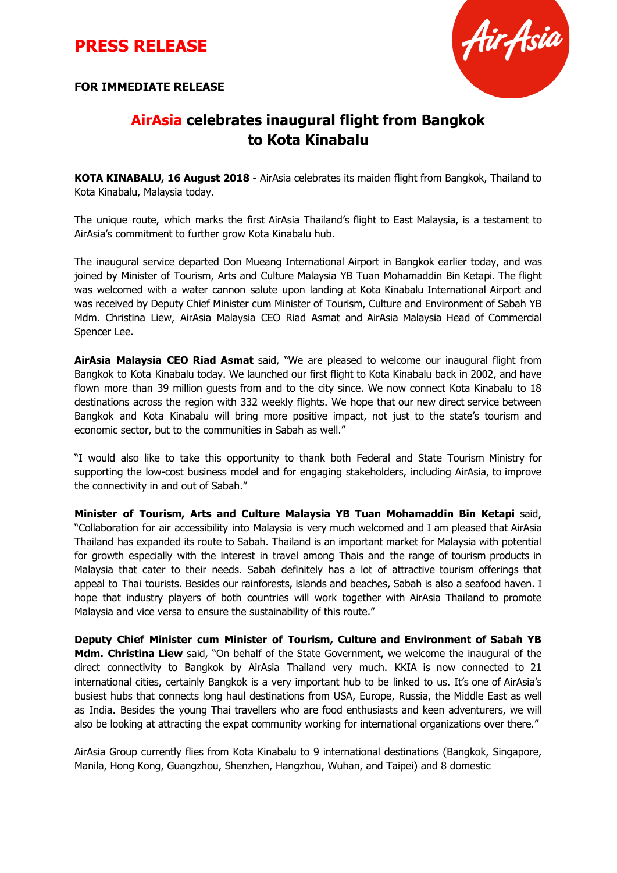## **PRESS RELEASE**

**FOR IMMEDIATE RELEASE**



## **AirAsia celebrates inaugural flight from Bangkok to Kota Kinabalu**

**KOTA KINABALU, 16 August 2018 -** AirAsia celebrates its maiden flight from Bangkok, Thailand to Kota Kinabalu, Malaysia today.

The unique route, which marks the first AirAsia Thailand's flight to East Malaysia, is a testament to AirAsia's commitment to further grow Kota Kinabalu hub.

The inaugural service departed Don Mueang International Airport in Bangkok earlier today, and was joined by Minister of Tourism, Arts and Culture Malaysia YB Tuan Mohamaddin Bin Ketapi. The flight was welcomed with a water cannon salute upon landing at Kota Kinabalu International Airport and was received by Deputy Chief Minister cum Minister of Tourism, Culture and Environment of Sabah YB Mdm. Christina Liew, AirAsia Malaysia CEO Riad Asmat and AirAsia Malaysia Head of Commercial Spencer Lee.

**AirAsia Malaysia CEO Riad Asmat** said, "We are pleased to welcome our inaugural flight from Bangkok to Kota Kinabalu today. We launched our first flight to Kota Kinabalu back in 2002, and have flown more than 39 million guests from and to the city since. We now connect Kota Kinabalu to 18 destinations across the region with 332 weekly flights. We hope that our new direct service between Bangkok and Kota Kinabalu will bring more positive impact, not just to the state's tourism and economic sector, but to the communities in Sabah as well."

"I would also like to take this opportunity to thank both Federal and State Tourism Ministry for supporting the low-cost business model and for engaging stakeholders, including AirAsia, to improve the connectivity in and out of Sabah."

**Minister of Tourism, Arts and Culture Malaysia YB Tuan Mohamaddin Bin Ketapi** said, "Collaboration for air accessibility into Malaysia is very much welcomed and I am pleased that AirAsia Thailand has expanded its route to Sabah. Thailand is an important market for Malaysia with potential for growth especially with the interest in travel among Thais and the range of tourism products in Malaysia that cater to their needs. Sabah definitely has a lot of attractive tourism offerings that appeal to Thai tourists. Besides our rainforests, islands and beaches, Sabah is also a seafood haven. I hope that industry players of both countries will work together with AirAsia Thailand to promote Malaysia and vice versa to ensure the sustainability of this route."

**Deputy Chief Minister cum Minister of Tourism, Culture and Environment of Sabah YB Mdm. Christina Liew** said, "On behalf of the State Government, we welcome the inaugural of the direct connectivity to Bangkok by AirAsia Thailand very much. KKIA is now connected to 21 international cities, certainly Bangkok is a very important hub to be linked to us. It's one of AirAsia's busiest hubs that connects long haul destinations from USA, Europe, Russia, the Middle East as well as India. Besides the young Thai travellers who are food enthusiasts and keen adventurers, we will also be looking at attracting the expat community working for international organizations over there."

AirAsia Group currently flies from Kota Kinabalu to 9 international destinations (Bangkok, Singapore, Manila, Hong Kong, Guangzhou, Shenzhen, Hangzhou, Wuhan, and Taipei) and 8 domestic